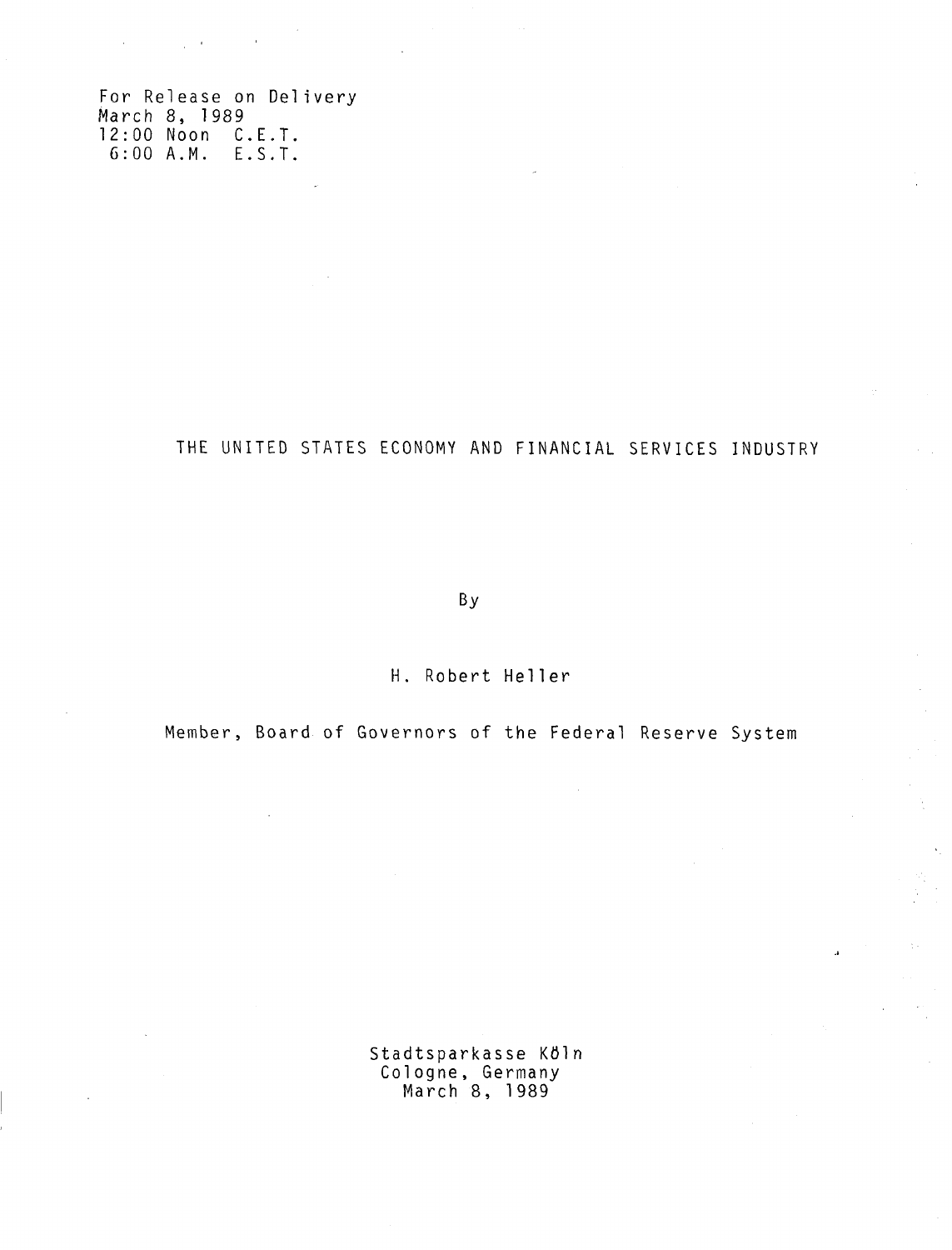For Release on Delivery 1989 March 8, 198 12:00 Noon C.E.T 6:00 A.M. E.S.T.

 $\sim 10^{10}$ 

 $\sim$ 

THE UNITED STATES ECONOMY AND FINANCIAL SERVICES INDUSTRY

By

H. Robert Heller

Member, Board of Governors of the Federal Reserve System

Stadtsparkasse Köln Cologne, Germany March 8, 1989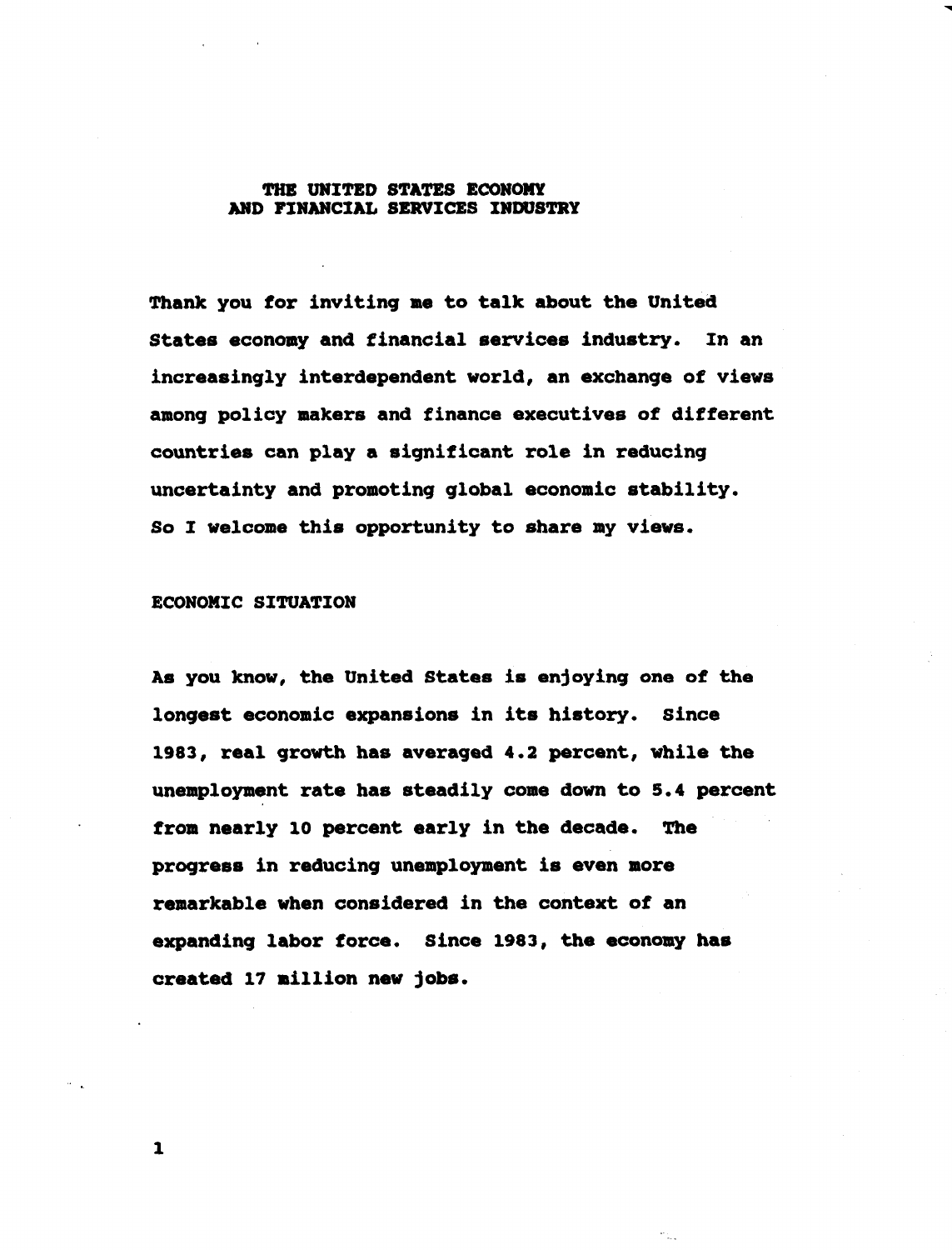## **THE UNITED STATES ECONOMY AND FINANCIAL SERVICES INDUSTRY**

**Thank you for inviting me to talk about the United States economy and financial services industry. In an increasingly interdependent world, an exchange of views among policy makers and finance executives of different countries can play a significant role in reducing uncertainty and promoting global economic stability. So I welcome this opportunity to share my views.**

#### **ECONOMIC SITUATION**

**As you know, the United States is enjoying one of the longest economic expansions in its history. Since 1983, real growth has averaged 4.2 percent, while the unemployment rate has steadily come down to 5.4 percent from nearly 10 percent early in the decade. The progress in reducing unemployment is even more remarkable when considered in the context of an expanding labor force. Since 1983, the economy has created 17 million new jobs.**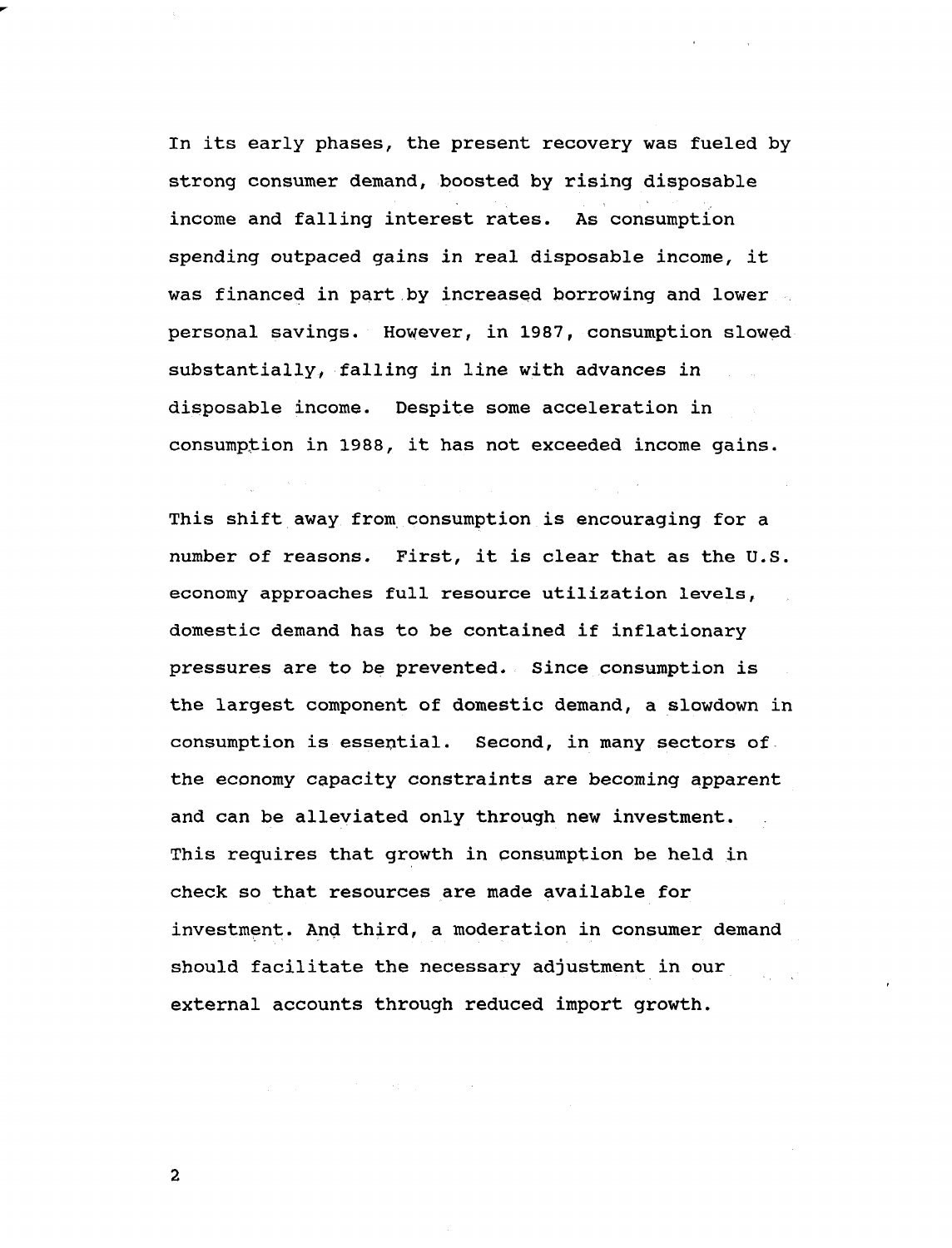**In its early phases, the present recovery was fueled by strong consumer demand, boosted by rising disposable income and falling interest rates. As consumption spending outpaced gains in real disposable income, it was financed in part by increased borrowing and lower personal savings. However, in 1987, consumption slowed substantially, falling in line with advances in disposable income. Despite some acceleration in consumption in 1988, it has not exceeded income gains.**

**This shift away from consumption is encouraging for a number of reasons. First, it is clear that as the U.S. economy approaches full resource utilization levels, domestic demand has to be contained if inflationary pressures are to be prevented. Since consumption is the largest component of domestic demand, a slowdown in consumption is essential. Second, in many sectors of the economy capacity constraints are becoming apparent and can be alleviated only through new investment. This requires that growth in consumption be held in check so that resources are made available for investment. And third, a moderation in consumer demand should facilitate the necessary adjustment in our external accounts through reduced import growth.**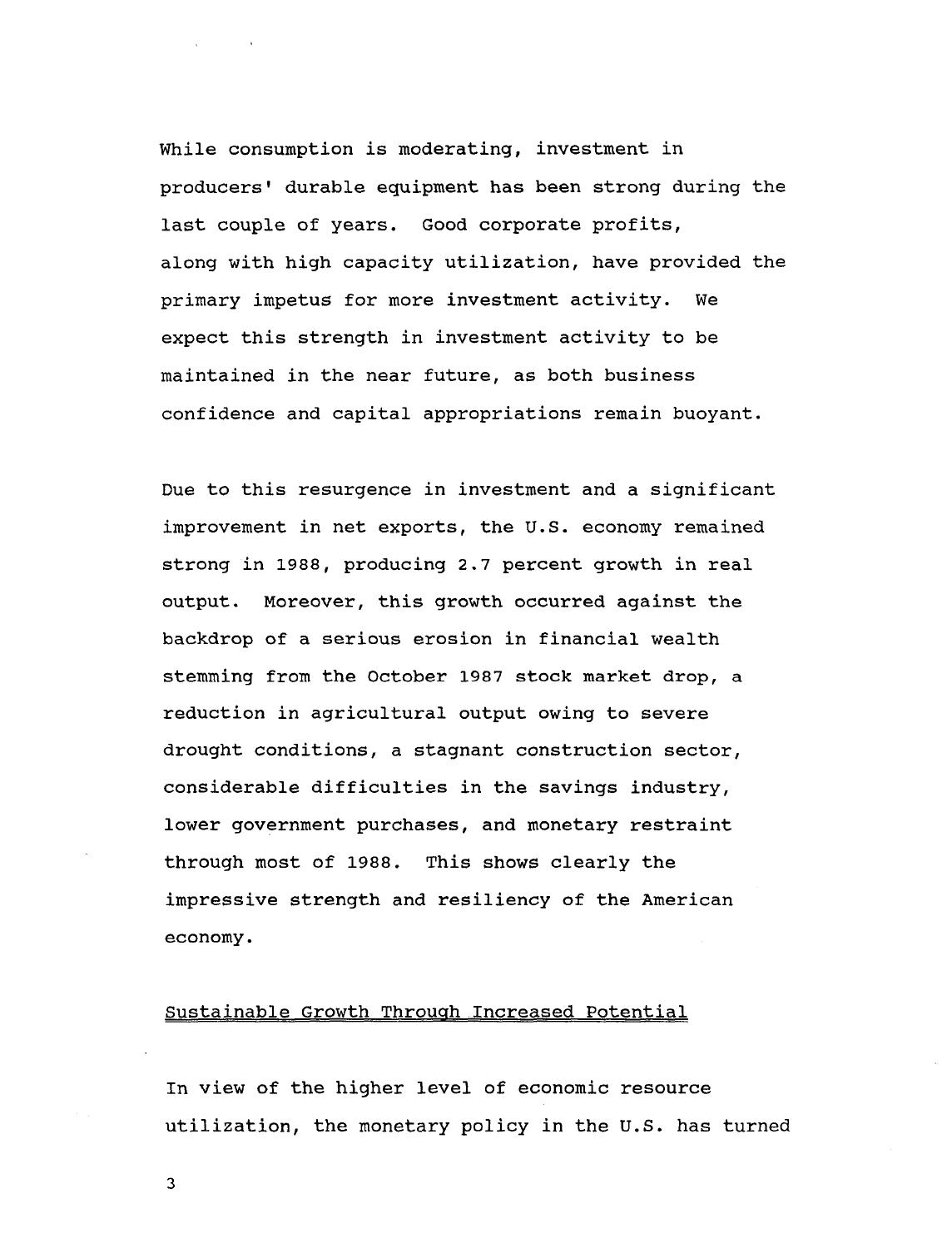**While consumption is moderating, investment in producers<sup>1</sup> durable equipment has been strong during the last couple of years. Good corporate profits, along with high capacity utilization, have provided the primary impetus for more investment activity. We expect this strength in investment activity to be maintained in the near future, as both business confidence and capital appropriations remain buoyant.**

**Due to this resurgence in investment and a significant improvement in net exports, the U.S. economy remained strong in 1988, producing 2.7 percent growth in real output. Moreover, this growth occurred against the backdrop of a serious erosion in financial wealth stemming from the October 1987 stock market drop, a reduction in agricultural output owing to severe drought conditions, a stagnant construction sector, considerable difficulties in the savings industry, lower government purchases, and monetary restraint through most of 1988. This shows clearly the impressive strength and resiliency of the American economy.**

### **Sustainable Growth Through Increased Potential**

**In view of the higher level of economic resource utilization, the monetary policy in the U.S. has turned**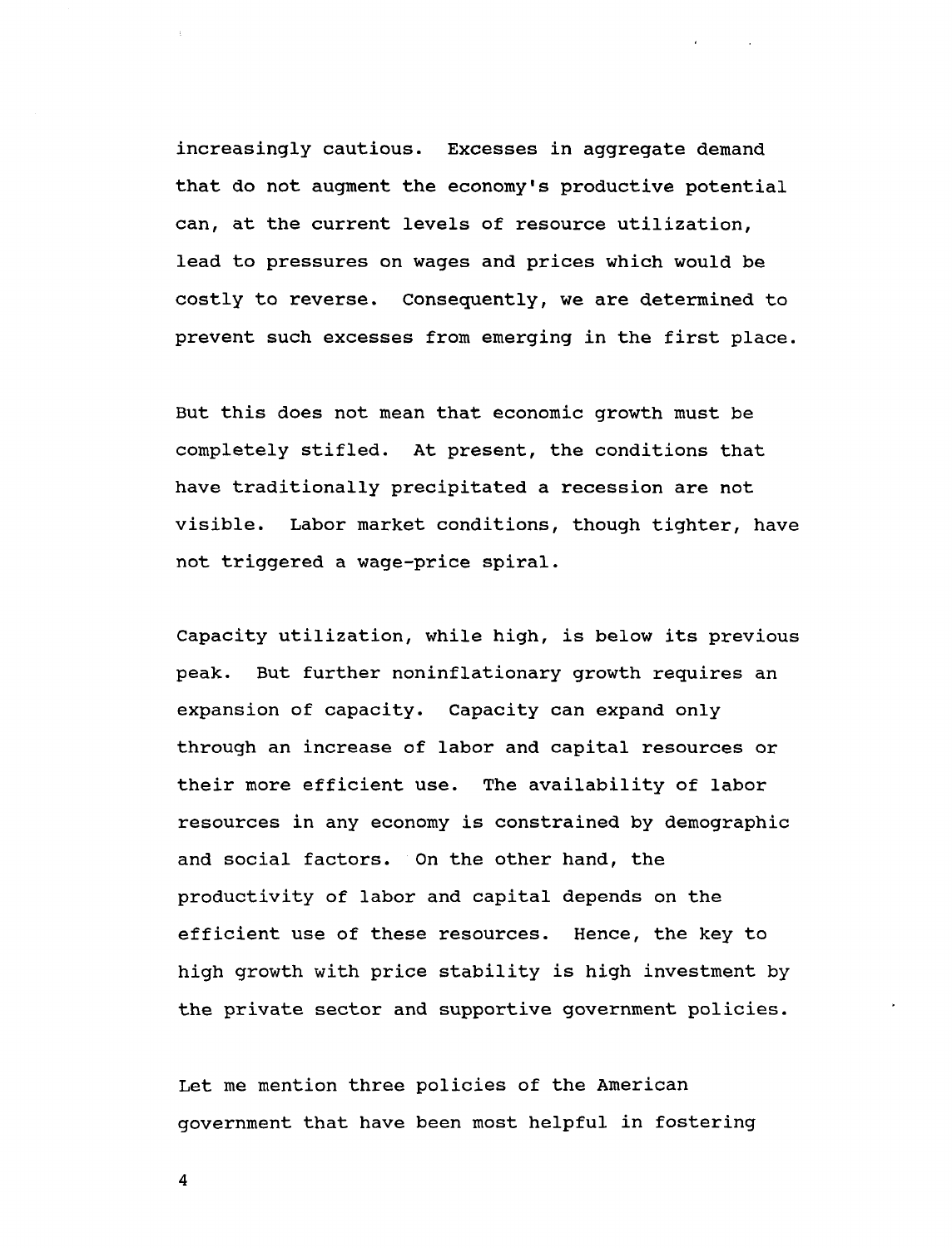**increasingly cautious. Excesses in aggregate demand that do not augment the economy's productive potential can, at the current levels of resource utilization, lead to pressures on wages and prices which would be costly to reverse. Consequently, we are determined to prevent such excesses from emerging in the first place.**

**But this does not mean that economic growth must be completely stifled. At present, the conditions that have traditionally precipitated a recession are not visible. Labor market conditions, though tighter, have not triggered a wage-price spiral.**

**Capacity utilization, while high, is below its previous peak. But further noninflationary growth requires an expansion of capacity. Capacity can expand only through an increase of labor and capital resources or their more efficient use. The availability of labor resources in any economy is constrained by demographic and social factors. On the other hand, the productivity of labor and capital depends on the efficient use of these resources. Hence, the key to high growth with price stability is high investment by the private sector and supportive government policies.**

**Let me mention three policies of the American government that have been most helpful in fostering**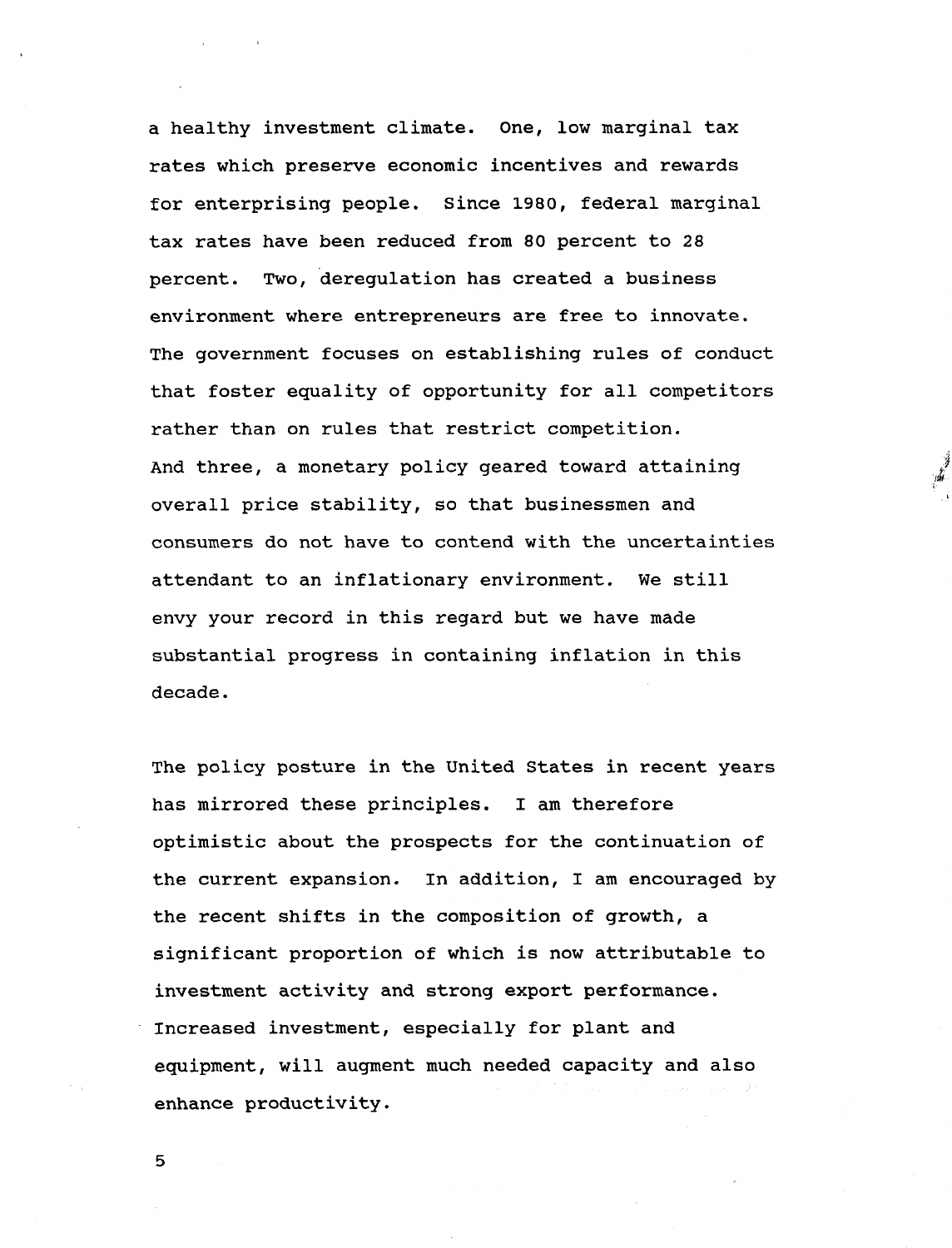**a healthy investment climate. One, low marginal tax rates which preserve economic incentives and rewards for enterprising people. Since 1980, federal marginal tax rates have been reduced from 80 percent to 28 percent. Two, deregulation has created a business environment where entrepreneurs are free to innovate. The government focuses on establishing rules of conduct that foster equality of opportunity for all competitors rather than on rules that restrict competition. And three, a monetary policy geared toward attaining overall price stability, so that businessmen and consumers do not have to contend with the uncertainties attendant to an inflationary environment. We still envy your record in this regard but we have made substantial progress in containing inflation in this decade.**

**The policy posture in the United States in recent years has mirrored these principles. I am therefore optimistic about the prospects for the continuation of the current expansion. In addition, I am encouraged by the recent shifts in the composition of growth, a significant proportion of which is now attributable to investment activity and strong export performance. Increased investment, especially for plant and equipment, will augment much needed capacity and also enhance productivity.**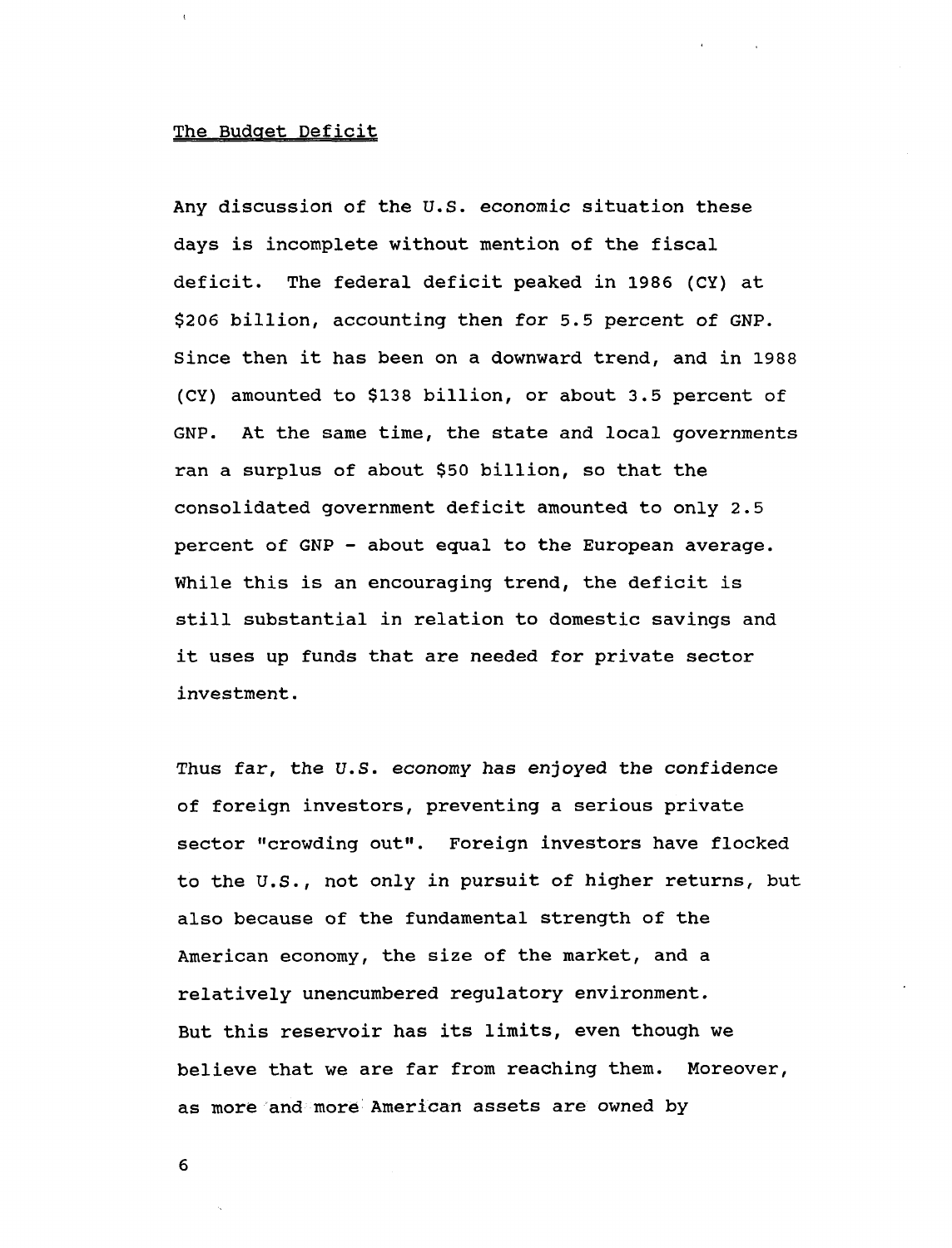#### **The Budget Deficit**

**Any discussion of the U.S. economic situation these days is incomplete without mention of the fiscal deficit. The federal deficit peaked in 1986 (CY) at \$206 billion, accounting then for 5.5 percent of GNP. Since then it has been on a downward trend, and in 1988 (CY) amounted to \$138 billion, or about 3.5 percent of GNP. At the same time, the state and local governments ran a surplus of about \$50 billion, so that the consolidated government deficit amounted to only 2.5 percent of GNP - about equal to the European average. While this is an encouraging trend, the deficit is still substantial in relation to domestic savings and it uses up funds that are needed for private sector investment.**

**Thus far, the U.S. economy has enjoyed the confidence of foreign investors, preventing a serious private sector "crowding out". Foreign investors have flocked to the U.S., not only in pursuit of higher returns, but also because of the fundamental strength of the American economy, the size of the market, and a relatively unencumbered regulatory environment. But this reservoir has its limits, even though we believe that we are far from reaching them. Moreover, as more and more American assets are owned by**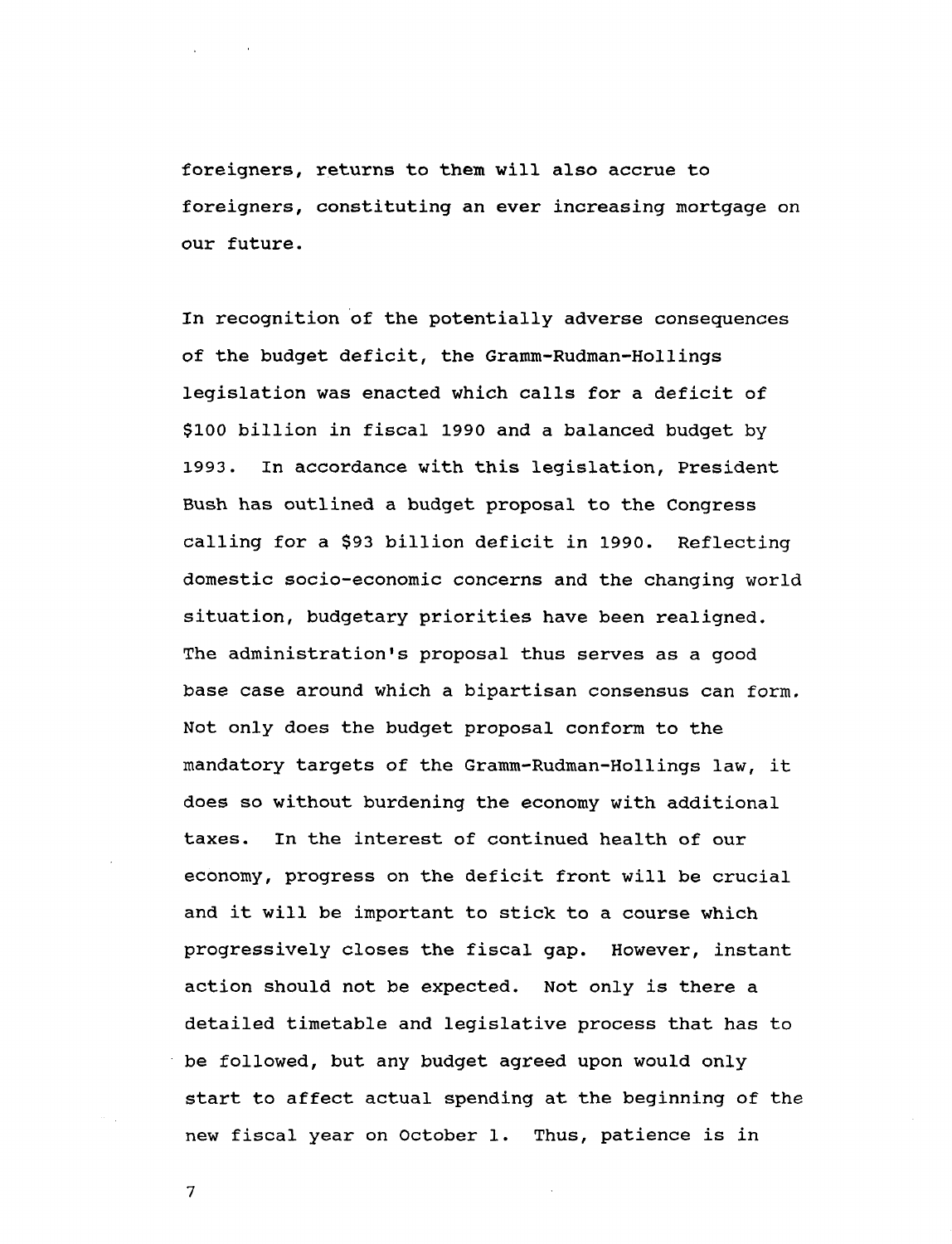**foreigners, returns to them will also accrue to foreigners, constituting an ever increasing mortgage on our future.**

**In recognition of the potentially adverse consequences of the budget deficit, the Gramm-Rudman-Hollings legislation was enacted which calls for a deficit of \$100 billion in fiscal 1990 and a balanced budget by 1993. In accordance with this legislation, President Bush has outlined a budget proposal to the Congress calling for a \$93 billion deficit in 1990. Reflecting domestic socio-economic concerns and the changing world situation, budgetary priorities have been realigned. The administration's proposal thus serves as a good base case around which a bipartisan consensus can form. Not only does the budget proposal conform to the mandatory targets of the Gramm-Rudman-Hollings law, it does so without burdening the economy with additional taxes. In the interest of continued health of our economy, progress on the deficit front will be crucial and it will be important to stick to a course which progressively closes the fiscal gap. However, instant action should not be expected. Not only is there a detailed timetable and legislative process that has to be followed, but any budget agreed upon would only start to affect actual spending at the beginning of the new fiscal year on October 1. Thus, patience is in**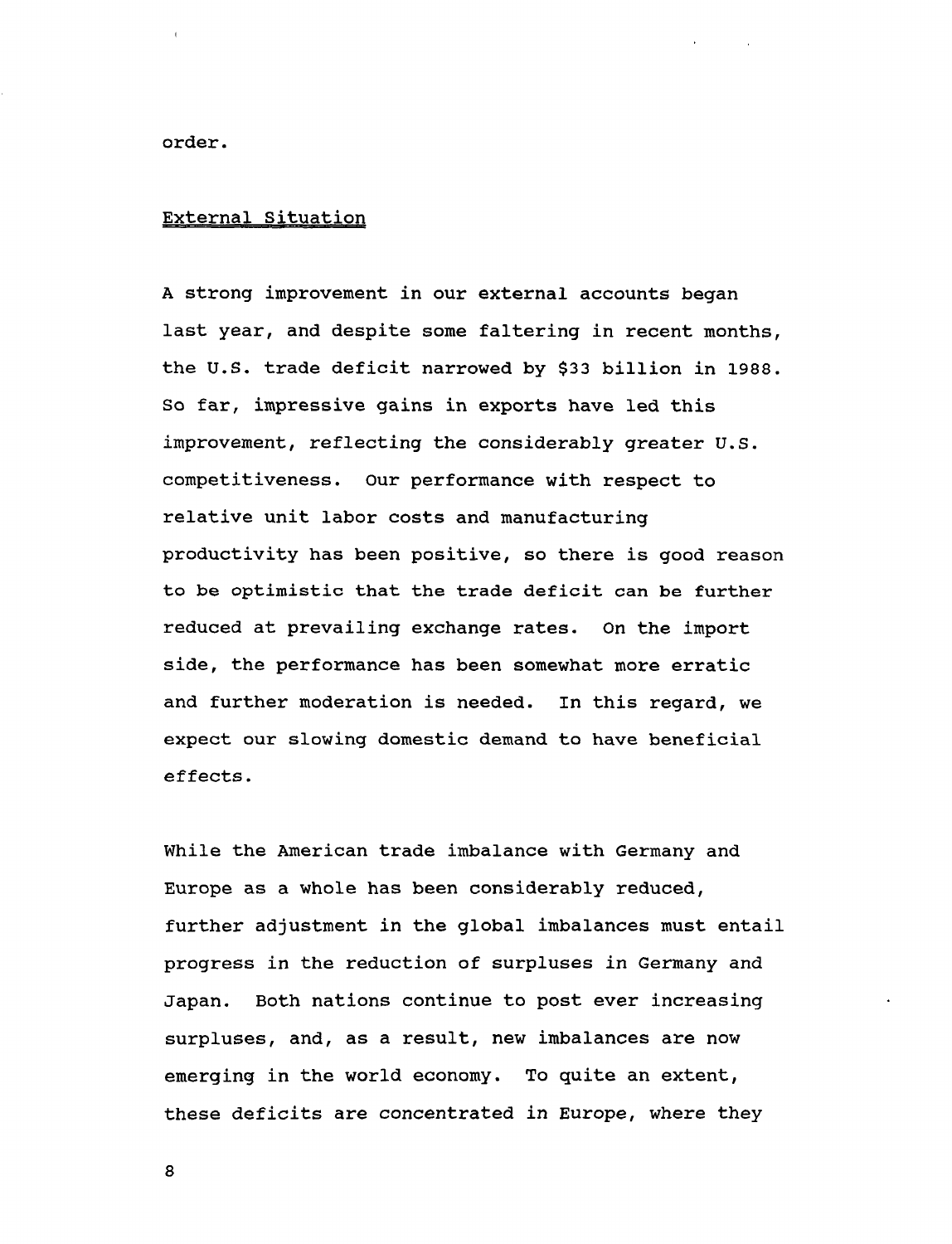**order.**

## **External Situation**

**A strong improvement in our external accounts began last year, and despite some faltering in recent months, the U.S. trade deficit narrowed by \$33 billion in 1988. So far, impressive gains in exports have led this improvement, reflecting the considerably greater U.S. competitiveness. Our performance with respect to relative unit labor costs and manufacturing productivity has been positive, so there is good reason to be optimistic that the trade deficit can be further reduced at prevailing exchange rates. On the import side, the performance has been somewhat more erratic and further moderation is needed. In this regard, we expect our slowing domestic demand to have beneficial effects.**

**While the American trade imbalance with Germany and Europe as a whole has been considerably reduced, further adjustment in the global imbalances must entail progress in the reduction of surpluses in Germany and Japan. Both nations continue to post ever increasing surpluses, and, as a result, new imbalances are now emerging in the world economy. To quite an extent, these deficits are concentrated in Europe, where they**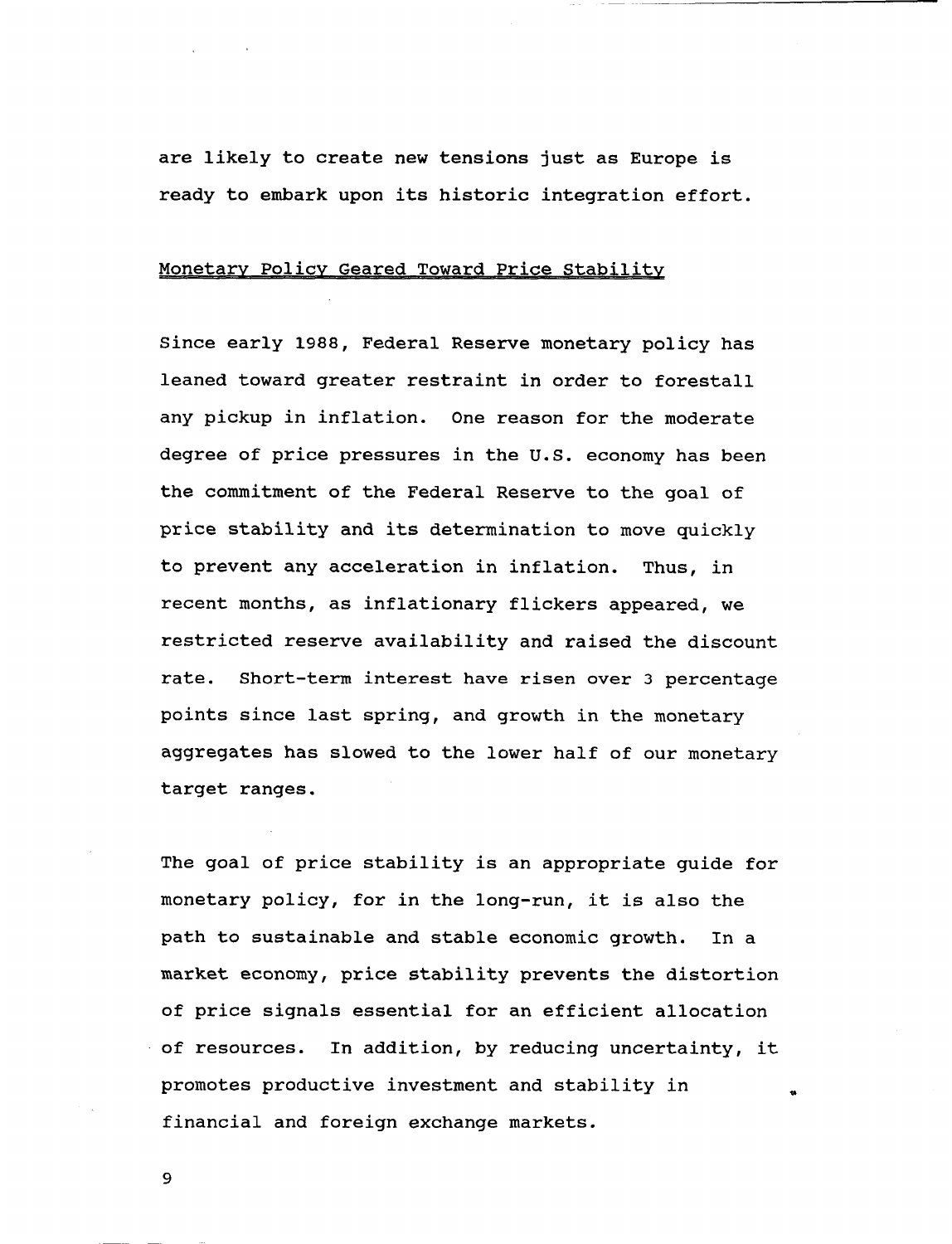**are likely to create new tensions just as Europe is ready to embark upon its historic integration effort.**

## **Monetary Policy Geared Toward Price Stability**

**Since early 1988, Federal Reserve monetary policy has leaned toward greater restraint in order to forestall any pickup in inflation. One reason for the moderate degree of price pressures in the U.S. economy has been the commitment of the Federal Reserve to the goal of price stability and its determination to move quickly to prevent any acceleration in inflation. Thus, in recent months, as inflationary flickers appeared, we restricted reserve availability and raised the discount rate. Short-term interest have risen over 3 percentage points since last spring, and growth in the monetary aggregates has slowed to the lower half of our monetary target ranges.**

**The goal of price stability is an appropriate guide for monetary policy, for in the long-run, it is also the path to sustainable and stable economic growth. In a market economy, price stability prevents the distortion of price signals essential for an efficient allocation of resources. In addition, by reducing uncertainty, it promotes productive investment and stability in financial and foreign exchange markets.**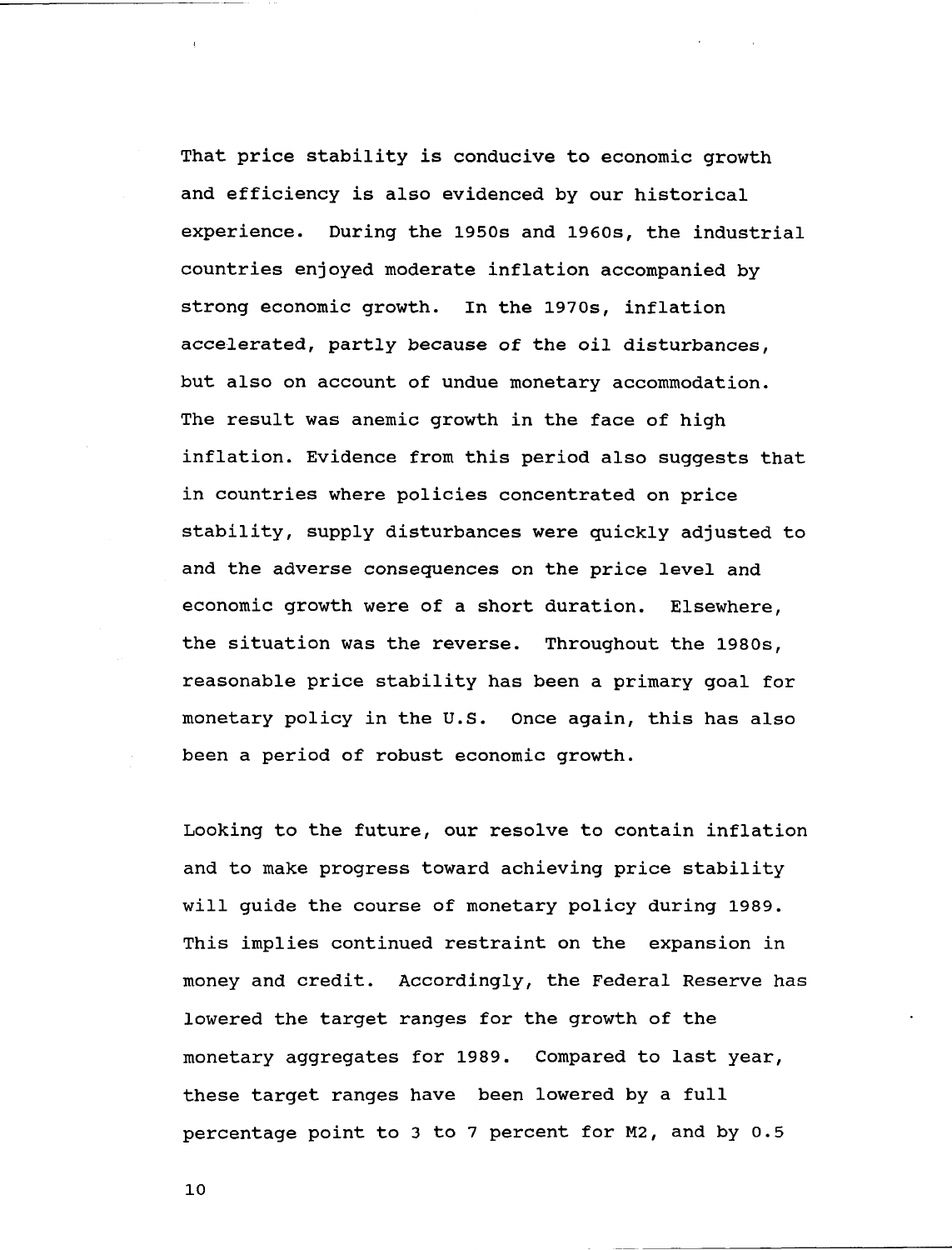**That price stability is conducive to economic growth and efficiency is also evidenced by our historical experience. During the 1950s and 1960s, the industrial countries enjoyed moderate inflation accompanied by strong economic growth. In the 1970s, inflation accelerated, partly because of the oil disturbances, but also on account of undue monetary accommodation. The result was anemic growth in the face of high inflation. Evidence from this period also suggests that in countries where policies concentrated on price stability, supply disturbances were quickly adjusted to and the adverse consequences on the price level and economic growth were of a short duration. Elsewhere, the situation was the reverse. Throughout the 1980s, reasonable price stability has been a primary goal for monetary policy in the U.S. Once again, this has also been a period of robust economic growth.**

**Looking to the future, our resolve to contain inflation and to make progress toward achieving price stability will guide the course of monetary policy during 1989. This implies continued restraint on the expansion in money and credit. Accordingly, the Federal Reserve has lowered the target ranges for the growth of the monetary aggregates for 1989. Compared to last year, these target ranges have been lowered by a full percentage point to 3 to 7 percent for M2, and by 0.5**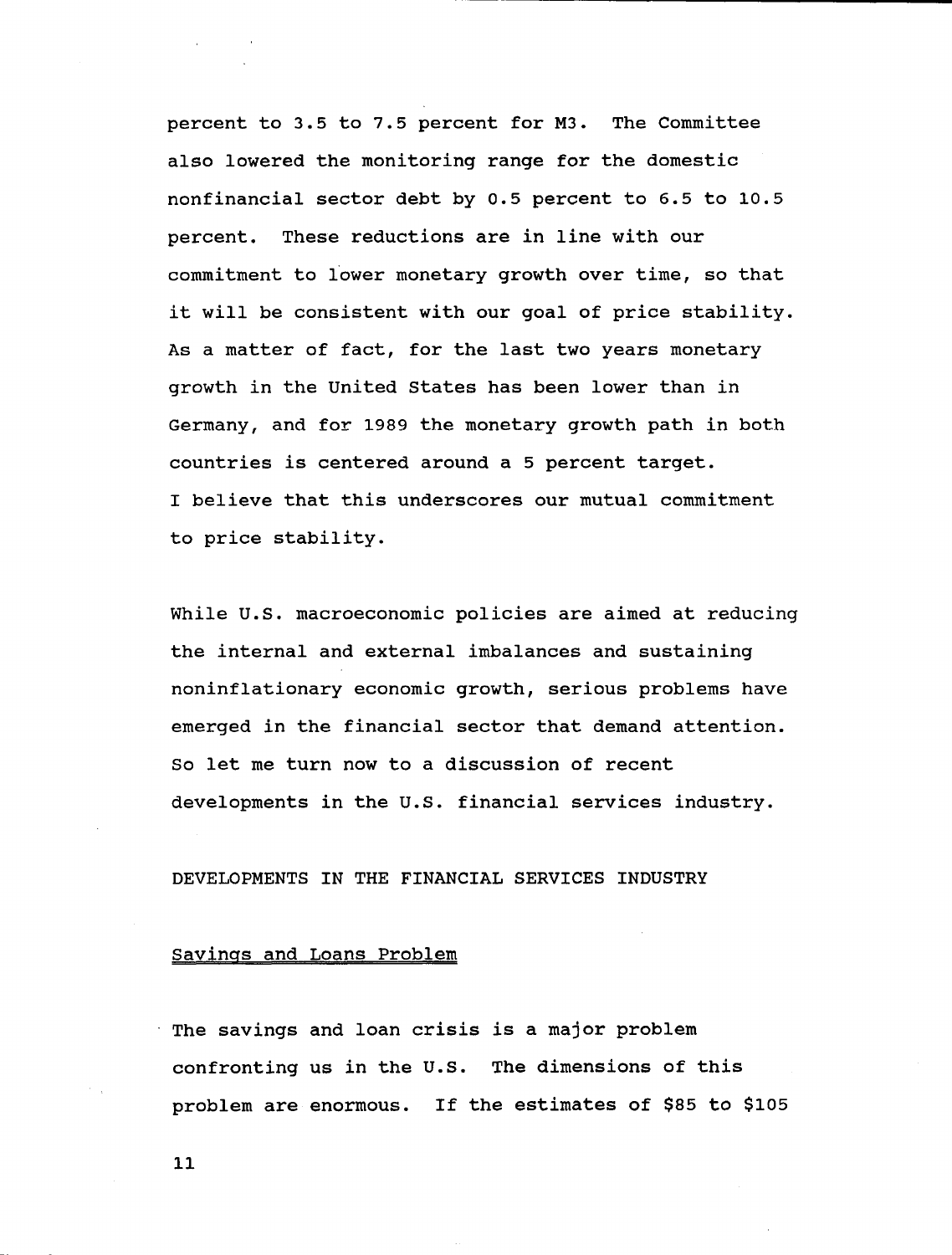**percent to 3.5 to 7.5 percent for M3. The Committee also lowered the monitoring range for the domestic nonfinancial sector debt by 0.5 percent to 6.5 to 10.5 percent. These reductions are in line with our commitment to lower monetary growth over time, so that it will be consistent with our goal of price stability. As a matter of fact, for the last two years monetary growth in the United States has been lower than in Germany, and for 1989 the monetary growth path in both countries is centered around a 5 percent target. I believe that this underscores our mutual commitment to price stability.**

**While U.S. macroeconomic policies are aimed at reducing the internal and external imbalances and sustaining noninflationary economic growth, serious problems have emerged in the financial sector that demand attention. So let me turn now to a discussion of recent developments in the U.S. financial services industry.**

# **DEVELOPMENTS IN THE FINANCIAL SERVICES INDUSTRY**

### **Savings and Loans Problem**

**The savings and loan crisis is a major problem confronting us in the U.S. The dimensions of this problem are enormous. If the estimates of \$85 to \$105**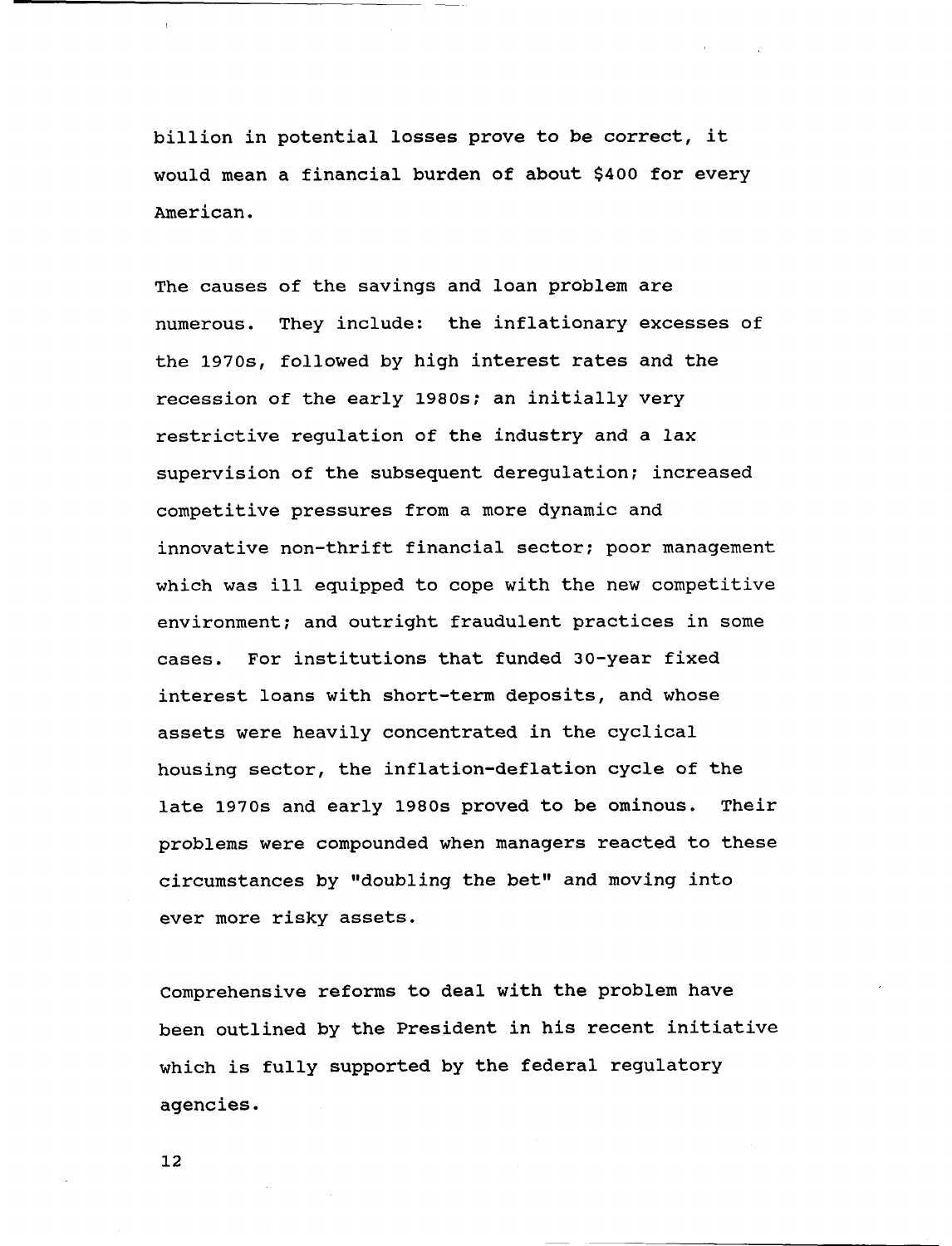**billion in potential losses prove to be correct, it would mean a financial burden of about \$400 for every American.**

**The causes of the savings and loan problem are numerous. They include: the inflationary excesses of the 1970s, followed by high interest rates and the recession of the early 1980s; an initially very restrictive regulation of the industry and a lax supervision of the subsequent deregulation; increased competitive pressures from a more dynamic and innovative non-thrift financial sector; poor management which was ill equipped to cope with the new competitive environment; and outright fraudulent practices in some cases. For institutions that funded 30-year fixed interest loans with short-term deposits, and whose assets were heavily concentrated in the cyclical housing sector, the inflation-deflation cycle of the late 1970s and early 1980s proved to be ominous. Their problems were compounded when managers reacted to these circumstances by "doubling the bet" and moving into ever more risky assets.**

**Comprehensive reforms to deal with the problem have been outlined by the President in his recent initiative which is fully supported by the federal regulatory agencies.**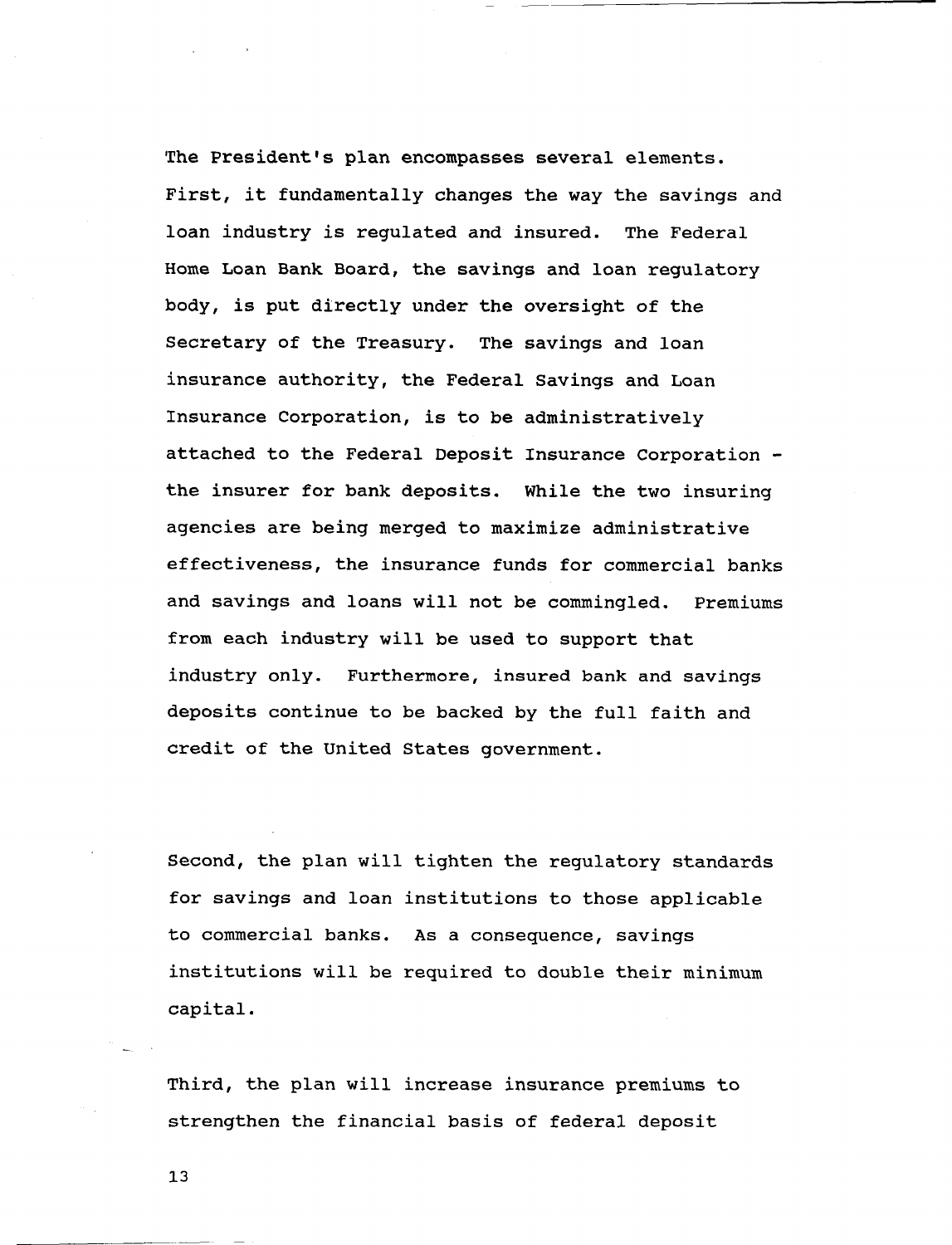**The President's plan encompasses several elements. First, it fundamentally changes the way the savings and loan industry is regulated and insured. The Federal Home Loan Bank Board, the savings and loan regulatory body, is put directly under the oversight of the Secretary of the Treasury. The savings and loan insurance authority, the Federal Savings and Loan Insurance Corporation, is to be administratively attached to the Federal Deposit Insurance Corporation the insurer for bank deposits. While the two insuring agencies are being merged to maximize administrative effectiveness, the insurance funds for commercial banks and savings and loans will not be commingled. Premiums from each industry will be used to support that industry only. Furthermore, insured bank and savings deposits continue to be backed by the full faith and credit of the United States government.**

**Second, the plan will tighten the regulatory standards for savings and loan institutions to those applicable to commercial banks. As a consequence, savings institutions will be required to double their minimum capital.**

**Third, the plan will increase insurance premiums to strengthen the financial basis of federal deposit**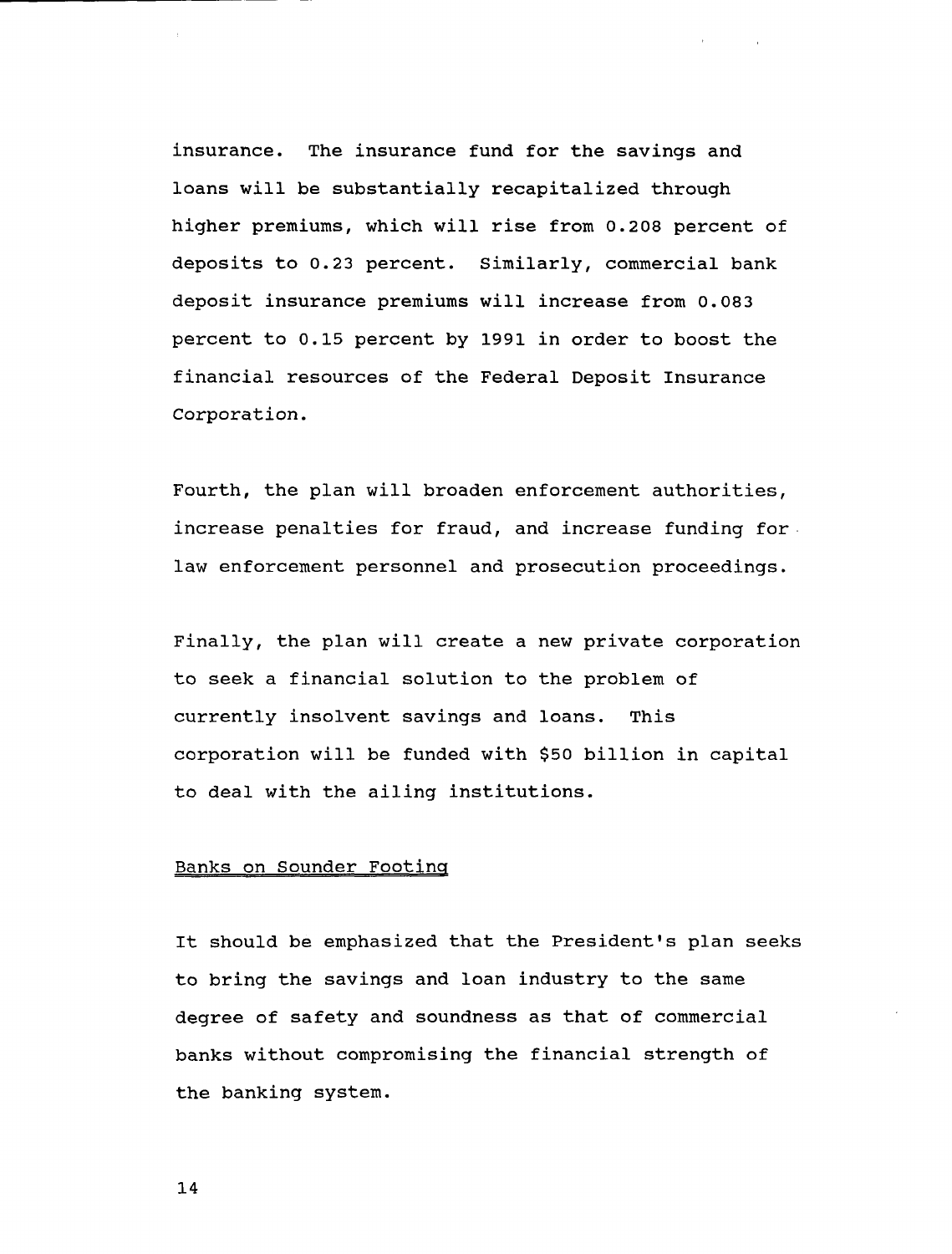**insurance. The insurance fund for the savings and loans will be substantially recapitalized through higher premiums, which will rise from 0.208 percent of deposits to 0.23 percent. Similarly, commercial bank deposit insurance premiums will increase from 0.083 percent to 0.15 percent by 1991 in order to boost the financial resources of the Federal Deposit Insurance Corporation.**

**Fourth, the plan will broaden enforcement authorities, increase penalties for fraud, and increase funding for law enforcement personnel and prosecution proceedings.**

**Finally, the plan will create a new private corporation to seek a financial solution to the problem of currently insolvent savings and loans. This corporation will be funded with \$50 billion in capital to deal with the ailing institutions.**

#### **Banks on Sounder Footing**

**It should be emphasized that the President's plan seeks to bring the savings and loan industry to the same degree of safety and soundness as that of commercial banks without compromising the financial strength of the banking system.**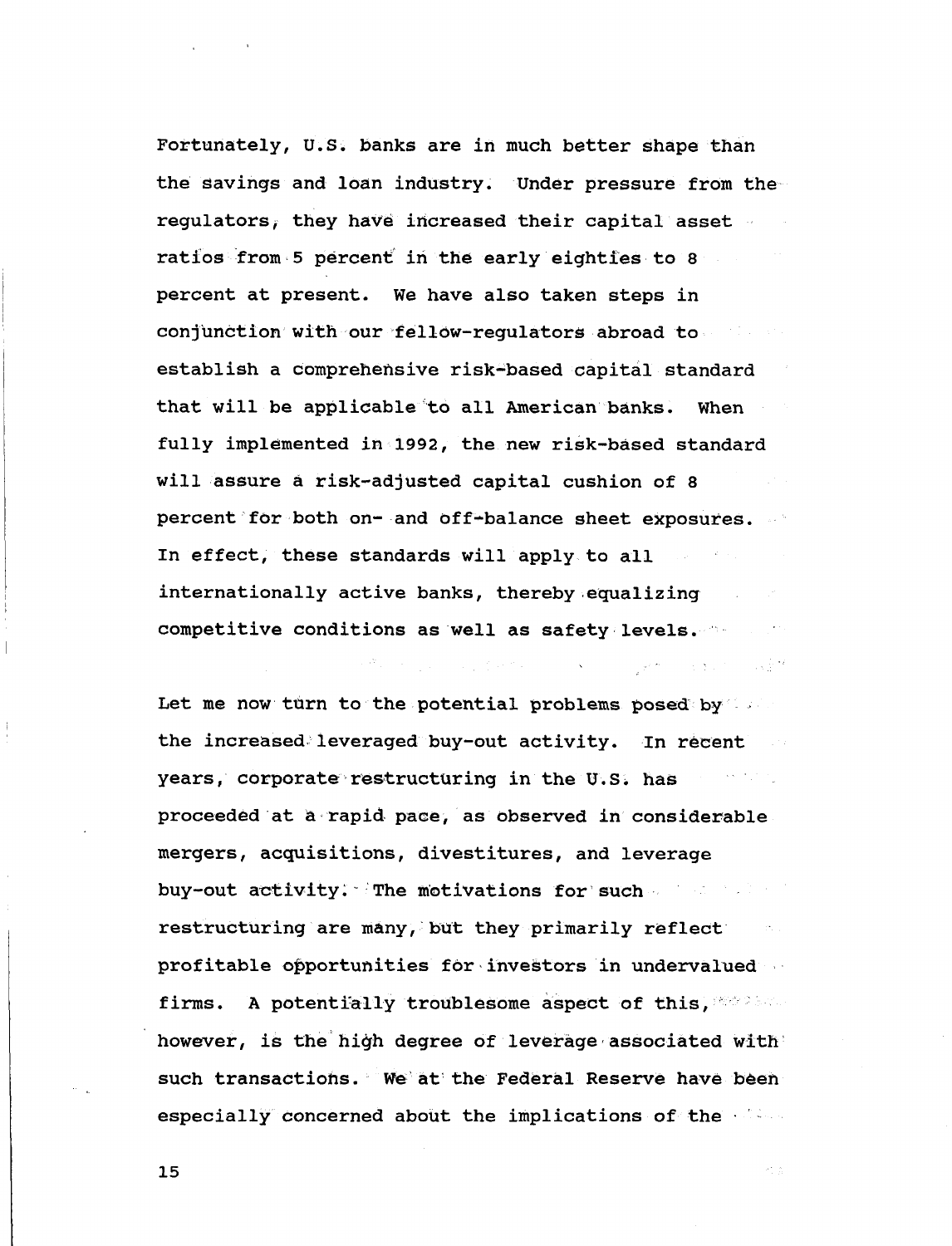**Fortunately, U.S. banks are in much better shape than the savings and loan industry. Under pressure from the regulators^ they have increased their capital asset ratios from 5 percent in the early eighties to 8 percent at present. We have also taken steps in conjunction with our fellOw-regulatorS abroad to establish a comprehensive risk-based capital standard that will be applicable to all American banks. When fully implemented in 1992, the new risk-based standard will assure a risk-adjusted capital cushion of 8 percent for both on- and off-balance sheet exposures. In effect, these standards will apply to all internationally active banks, thereby equalizing competitive conditions as well as safety levels.**

**Let me now tiirn to the potential problems posed by the increased leveraged buy-out activity. In recent years, corporate restructuring in the U.S. has proceeded at a rapid pace, as observed in considerable mergers, acquisitions, divestitures, and leverage buy-out activity. The motivations for such restructuring are many, but they primarily reflect profitable opportunities for investors in undervalued firms. A potentially troublesome aspect of this, however, is the high degree of leverage associated with such transactions. We at the Federal Reserve have been especially concerned about the implications of the**

医腹腔炎 医脑室 网络紫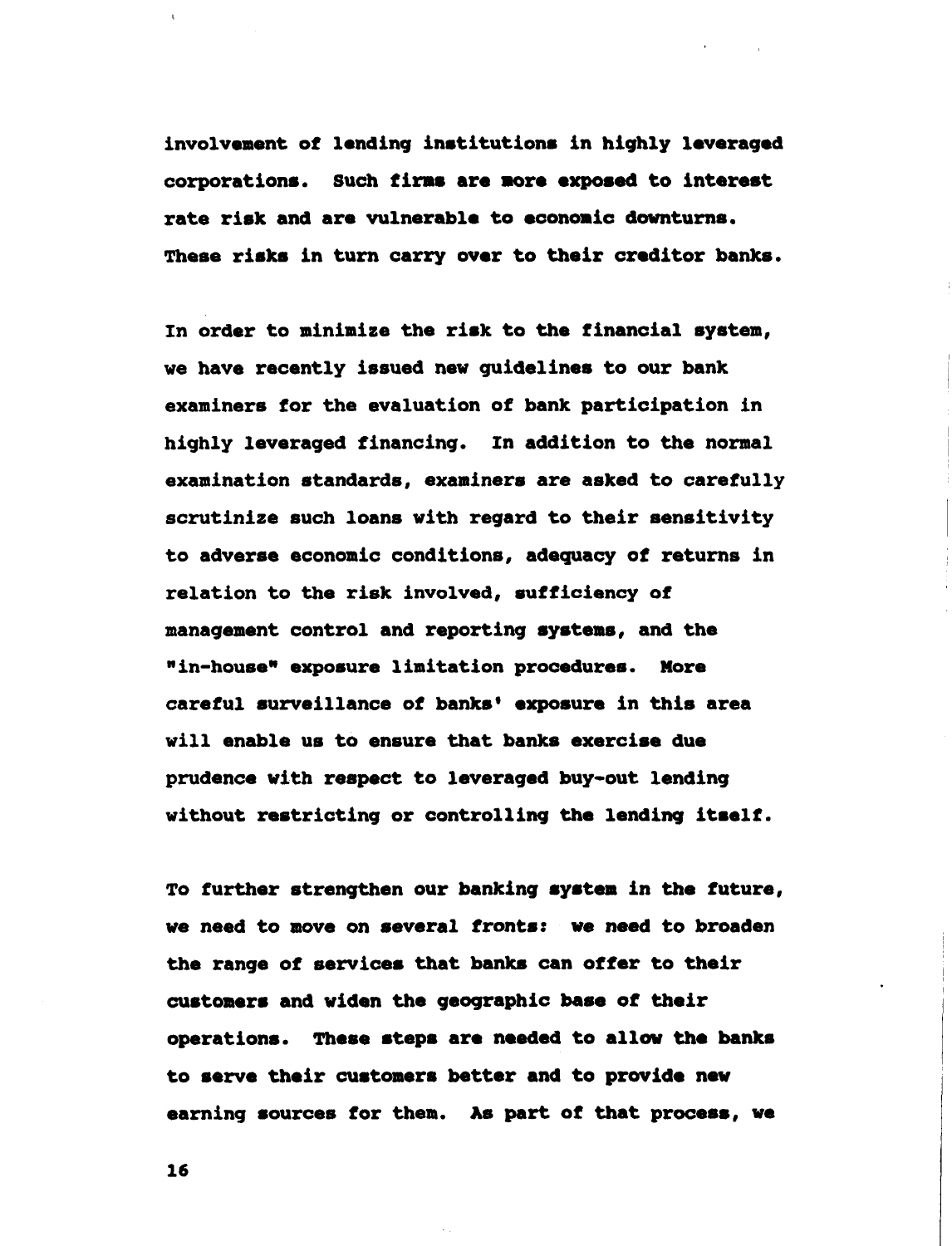**involvement of lending institutions in highly leveraged corporations. Such firms are sore exposed to interest rate risk and are vulnerable to economic downturns. These risks in turn carry over to their creditor banks.**

**In order to minimize the risk to the financial system, we have recently issued new guidelines to our bank examiners for the evaluation of bank participation in highly leveraged financing. In addition to the normal examination standards, examiners are asked to carefully scrutinize such loans with regard to their sensitivity to adverse economic conditions, adequacy of returns in relation to the risk involved, sufficiency of management control and reporting systems, and the <sup>H</sup>in-house<sup>N</sup> exposure limitation procedures. More careful surveillance of banks' exposure in this area will enable us to ensure that banks exercise due prudence with respect to leveraged buy-out lending without restricting or controlling the lending itself.**

**To further strengthen our banking system in the future, we need to move on several fronts: we need to broaden the range of services that banks can offer to their customers and widen the geographic base of their operations. These steps are needed to allow the banks to serve their customers better and to provide new earning sources for them. As part of that process, we**